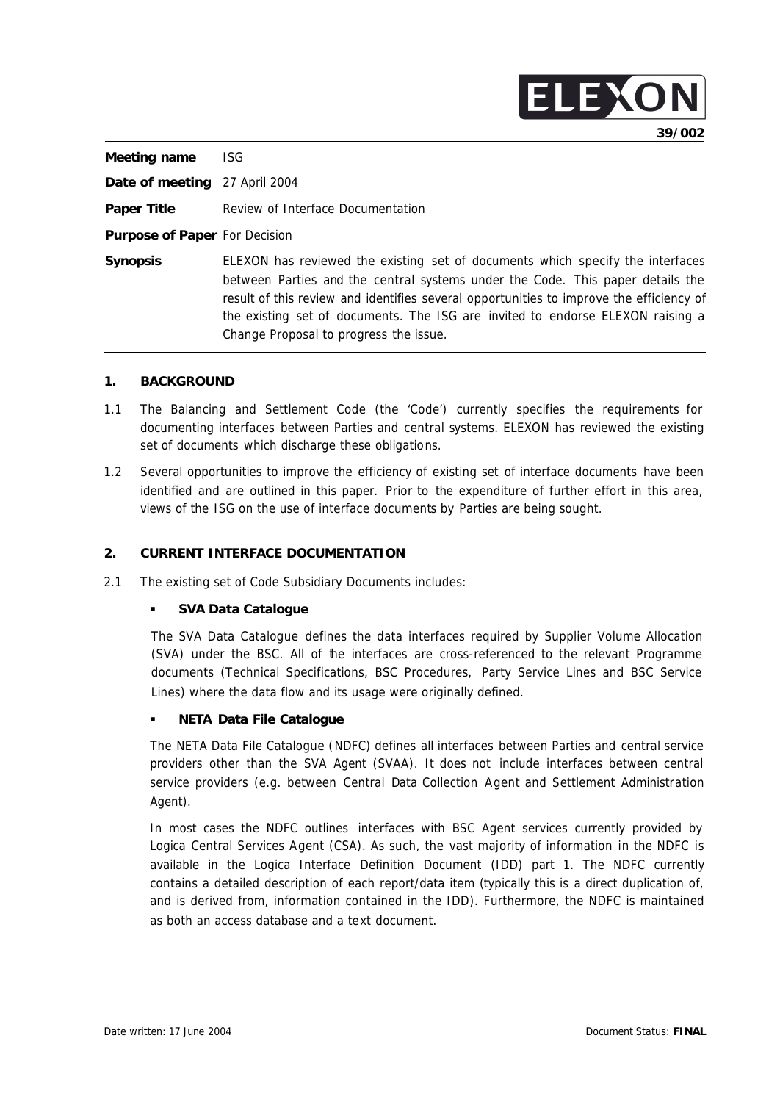|                               | 39/002                                                                                                                                                                                                                                                                                                                                                                                  |
|-------------------------------|-----------------------------------------------------------------------------------------------------------------------------------------------------------------------------------------------------------------------------------------------------------------------------------------------------------------------------------------------------------------------------------------|
| Meeting name                  | ISG.                                                                                                                                                                                                                                                                                                                                                                                    |
| Date of meeting 27 April 2004 |                                                                                                                                                                                                                                                                                                                                                                                         |
| <b>Paper Title</b>            | Review of Interface Documentation                                                                                                                                                                                                                                                                                                                                                       |
| Purpose of Paper For Decision |                                                                                                                                                                                                                                                                                                                                                                                         |
| <b>Synopsis</b>               | ELEXON has reviewed the existing set of documents which specify the interfaces<br>between Parties and the central systems under the Code. This paper details the<br>result of this review and identifies several opportunities to improve the efficiency of<br>the existing set of documents. The ISG are invited to endorse ELEXON raising a<br>Change Proposal to progress the issue. |

ELEXO

#### **1. BACKGROUND**

- 1.1 The Balancing and Settlement Code (the 'Code') currently specifies the requirements for documenting interfaces between Parties and central systems. ELEXON has reviewed the existing set of documents which discharge these obligations.
- 1.2 Several opportunities to improve the efficiency of existing set of interface documents have been identified and are outlined in this paper. Prior to the expenditure of further effort in this area, views of the ISG on the use of interface documents by Parties are being sought.

## **2. CURRENT INTERFACE DOCUMENTATION**

2.1 The existing set of Code Subsidiary Documents includes:

# ß **SVA Data Catalogue**

The SVA Data Catalogue defines the data interfaces required by Supplier Volume Allocation (SVA) under the BSC. All of the interfaces are cross-referenced to the relevant Programme documents (Technical Specifications, BSC Procedures, Party Service Lines and BSC Service Lines) where the data flow and its usage were originally defined.

# ß **NETA Data File Catalogue**

The NETA Data File Catalogue (NDFC) defines all interfaces between Parties and central service providers other than the SVA Agent (SVAA). It does not include interfaces between central service providers (e.g. between Central Data Collection Agent and Settlement Administration Agent).

In most cases the NDFC outlines interfaces with BSC Agent services currently provided by Logica Central Services Agent (CSA). As such, the vast majority of information in the NDFC is available in the Logica Interface Definition Document (IDD) part 1. The NDFC currently contains a detailed description of each report/data item (typically this is a direct duplication of, and is derived from, information contained in the IDD). Furthermore, the NDFC is maintained as both an access database and a text document.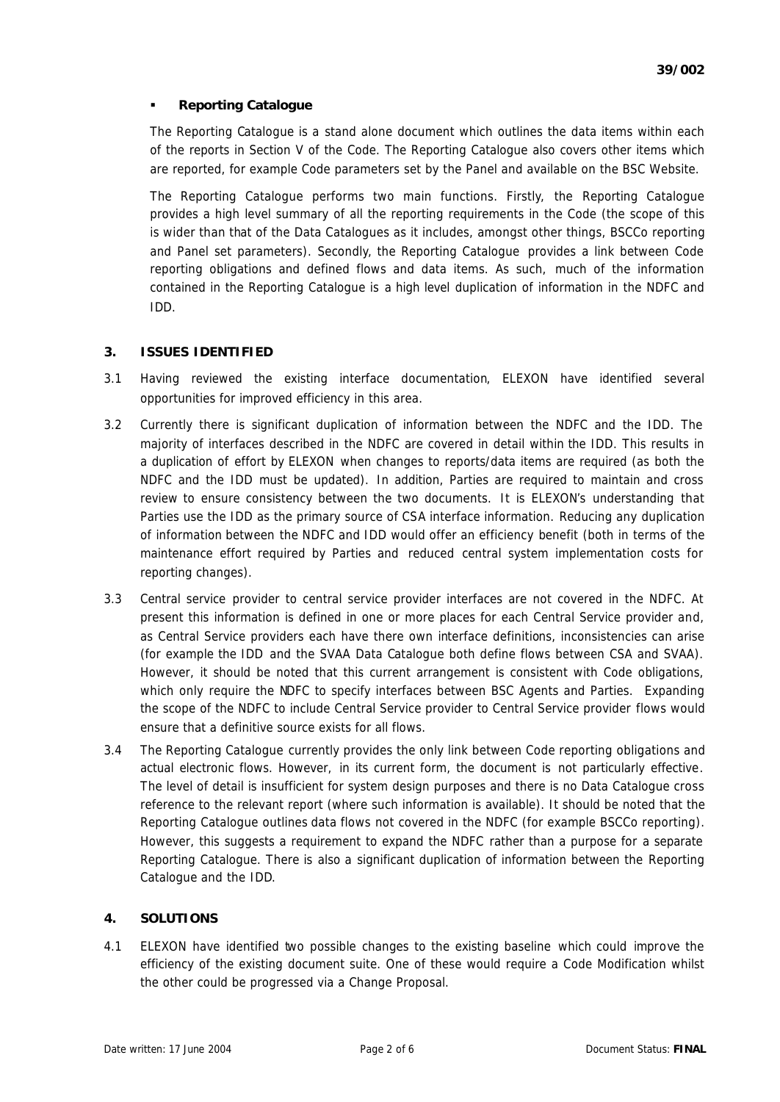# ß **Reporting Catalogue**

The Reporting Catalogue is a stand alone document which outlines the data items within each of the reports in Section V of the Code. The Reporting Catalogue also covers other items which are reported, for example Code parameters set by the Panel and available on the BSC Website.

The Reporting Catalogue performs two main functions. Firstly, the Reporting Catalogue provides a high level summary of all the reporting requirements in the Code (the scope of this is wider than that of the Data Catalogues as it includes, amongst other things, BSCCo reporting and Panel set parameters). Secondly, the Reporting Catalogue provides a link between Code reporting obligations and defined flows and data items. As such, much of the information contained in the Reporting Catalogue is a high level duplication of information in the NDFC and IDD.

# **3. ISSUES IDENTIFIED**

- 3.1 Having reviewed the existing interface documentation, ELEXON have identified several opportunities for improved efficiency in this area.
- 3.2 Currently there is significant duplication of information between the NDFC and the IDD. The majority of interfaces described in the NDFC are covered in detail within the IDD. This results in a duplication of effort by ELEXON when changes to reports/data items are required (as both the NDFC and the IDD must be updated). In addition, Parties are required to maintain and cross review to ensure consistency between the two documents. It is ELEXON's understanding that Parties use the IDD as the primary source of CSA interface information. Reducing any duplication of information between the NDFC and IDD would offer an efficiency benefit (both in terms of the maintenance effort required by Parties and reduced central system implementation costs for reporting changes).
- 3.3 Central service provider to central service provider interfaces are not covered in the NDFC. At present this information is defined in one or more places for each Central Service provider and, as Central Service providers each have there own interface definitions, inconsistencies can arise (for example the IDD and the SVAA Data Catalogue both define flows between CSA and SVAA). However, it should be noted that this current arrangement is consistent with Code obligations, which only require the NDFC to specify interfaces between BSC Agents and Parties. Expanding the scope of the NDFC to include Central Service provider to Central Service provider flows would ensure that a definitive source exists for all flows.
- 3.4 The Reporting Catalogue currently provides the only link between Code reporting obligations and actual electronic flows. However, in its current form, the document is not particularly effective. The level of detail is insufficient for system design purposes and there is no Data Catalogue cross reference to the relevant report (where such information is available). It should be noted that the Reporting Catalogue outlines data flows not covered in the NDFC (for example BSCCo reporting). However, this suggests a requirement to expand the NDFC rather than a purpose for a separate Reporting Catalogue. There is also a significant duplication of information between the Reporting Catalogue and the IDD.

# **4. SOLUTIONS**

4.1 ELEXON have identified two possible changes to the existing baseline which could improve the efficiency of the existing document suite. One of these would require a Code Modification whilst the other could be progressed via a Change Proposal.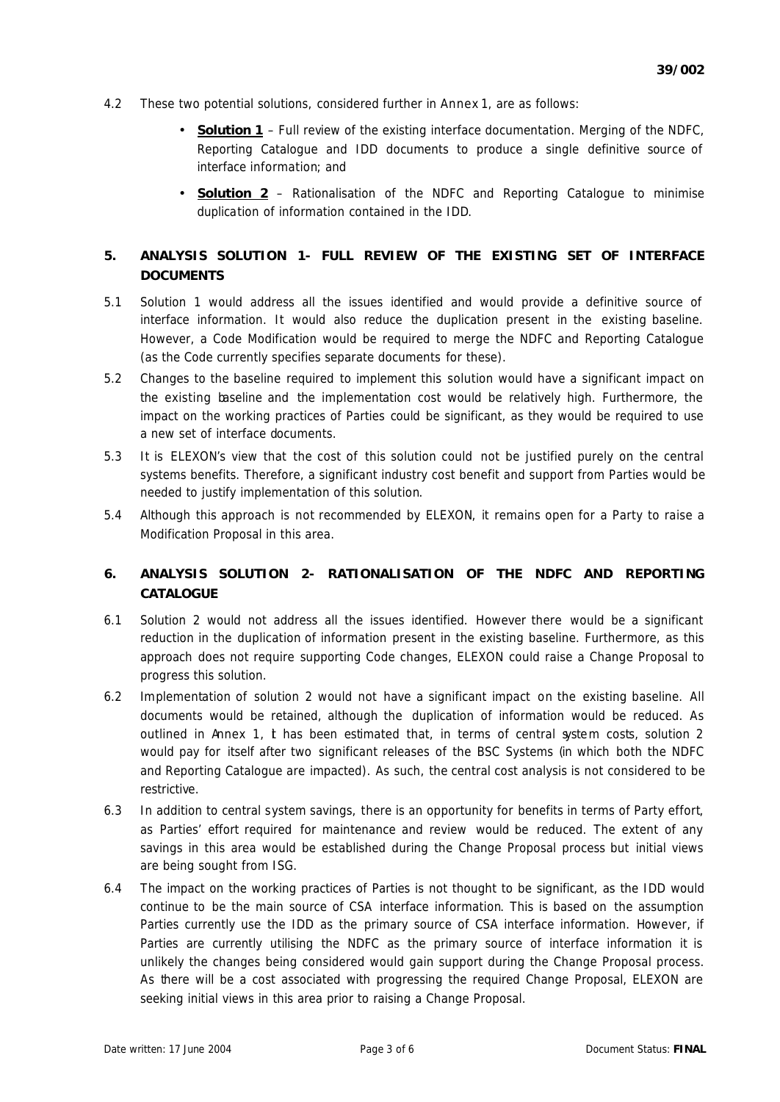- 4.2 These two potential solutions, considered further in Annex 1, are as follows:
	- **Solution 1** Full review of the existing interface documentation. Merging of the NDFC, Reporting Catalogue and IDD documents to produce a single definitive source of interface information; and
	- **Solution 2** Rationalisation of the NDFC and Reporting Catalogue to minimise duplication of information contained in the IDD.

# **5. ANALYSIS SOLUTION 1- FULL REVIEW OF THE EXISTING SET OF INTERFACE DOCUMENTS**

- 5.1 Solution 1 would address all the issues identified and would provide a definitive source of interface information. It would also reduce the duplication present in the existing baseline. However, a Code Modification would be required to merge the NDFC and Reporting Catalogue (as the Code currently specifies separate documents for these).
- 5.2 Changes to the baseline required to implement this solution would have a significant impact on the existing baseline and the implementation cost would be relatively high. Furthermore, the impact on the working practices of Parties could be significant, as they would be required to use a new set of interface documents.
- 5.3 It is ELEXON's view that the cost of this solution could not be justified purely on the central systems benefits. Therefore, a significant industry cost benefit and support from Parties would be needed to justify implementation of this solution.
- 5.4 Although this approach is not recommended by ELEXON, it remains open for a Party to raise a Modification Proposal in this area.

# **6. ANALYSIS SOLUTION 2- RATIONALISATION OF THE NDFC AND REPORTING CATALOGUE**

- 6.1 Solution 2 would not address all the issues identified. However there would be a significant reduction in the duplication of information present in the existing baseline. Furthermore, as this approach does not require supporting Code changes, ELEXON could raise a Change Proposal to progress this solution.
- 6.2 Implementation of solution 2 would not have a significant impact on the existing baseline. All documents would be retained, although the duplication of information would be reduced. As outlined in Annex 1, *t* has been estimated that, in terms of central system costs, solution 2 would pay for itself after two significant releases of the BSC Systems (in which both the NDFC and Reporting Catalogue are impacted). As such, the central cost analysis is not considered to be restrictive.
- 6.3 In addition to central system savings, there is an opportunity for benefits in terms of Party effort, as Parties' effort required for maintenance and review would be reduced. The extent of any savings in this area would be established during the Change Proposal process but initial views are being sought from ISG.
- 6.4 The impact on the working practices of Parties is not thought to be significant, as the IDD would continue to be the main source of CSA interface information. This is based on the assumption Parties currently use the IDD as the primary source of CSA interface information. However, if Parties are currently utilising the NDFC as the primary source of interface information it is unlikely the changes being considered would gain support during the Change Proposal process. As there will be a cost associated with progressing the required Change Proposal, ELEXON are seeking initial views in this area prior to raising a Change Proposal.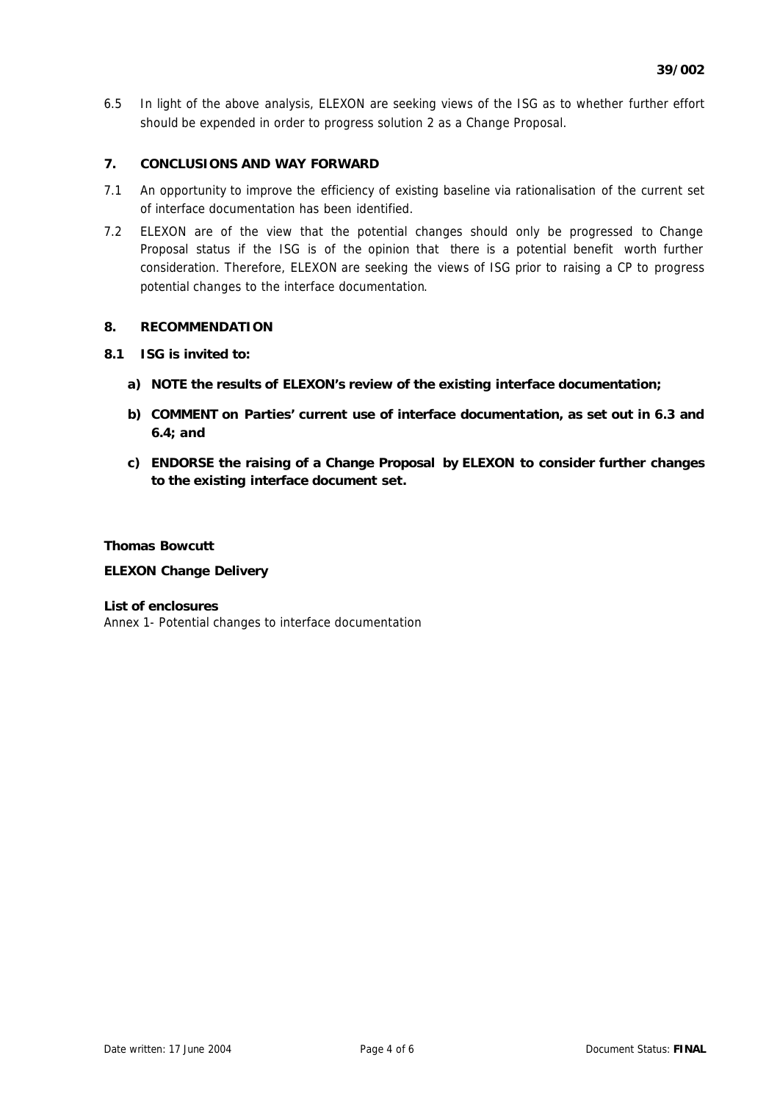6.5 In light of the above analysis, ELEXON are seeking views of the ISG as to whether further effort should be expended in order to progress solution 2 as a Change Proposal.

## **7. CONCLUSIONS AND WAY FORWARD**

- 7.1 An opportunity to improve the efficiency of existing baseline via rationalisation of the current set of interface documentation has been identified.
- 7.2 ELEXON are of the view that the potential changes should only be progressed to Change Proposal status if the ISG is of the opinion that there is a potential benefit worth further consideration. Therefore, ELEXON are seeking the views of ISG prior to raising a CP to progress potential changes to the interface documentation.

#### **8. RECOMMENDATION**

## **8.1 ISG is invited to:**

- **a) NOTE the results of ELEXON's review of the existing interface documentation;**
- **b) COMMENT on Parties' current use of interface documentation, as set out in 6.3 and 6.4; and**
- **c) ENDORSE the raising of a Change Proposal by ELEXON to consider further changes to the existing interface document set.**

## **Thomas Bowcutt**

#### **ELEXON Change Delivery**

#### *List of enclosures*

Annex 1- Potential changes to interface documentation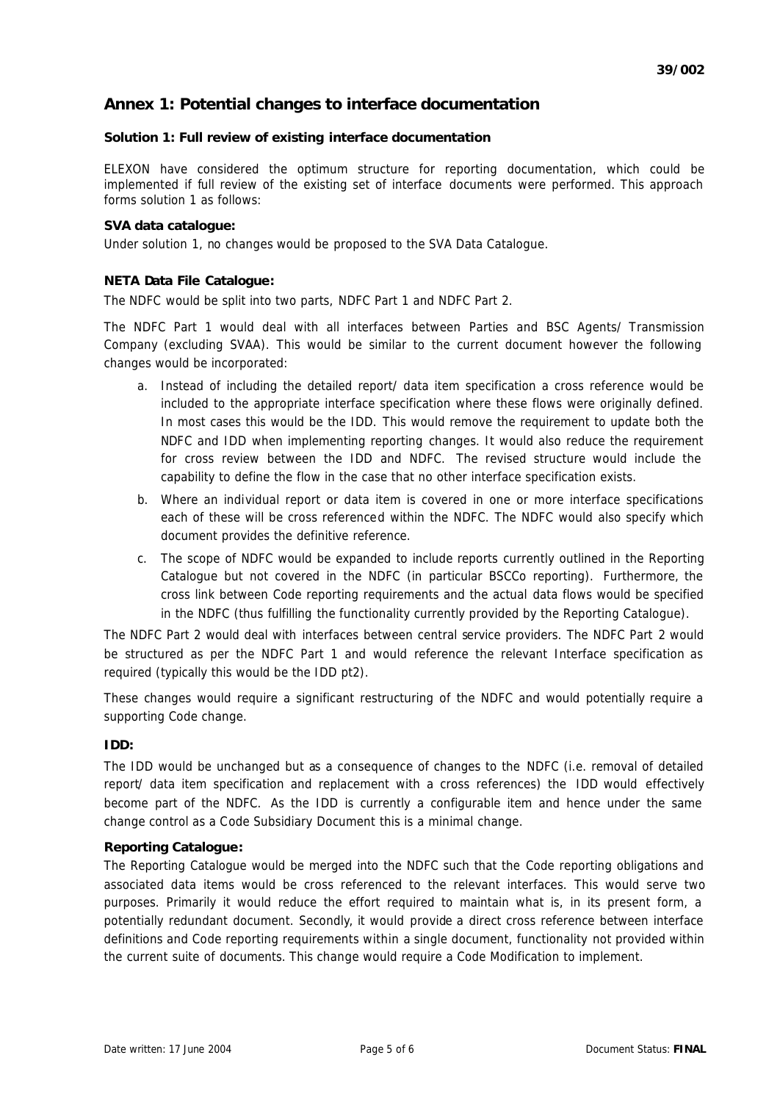# **Annex 1: Potential changes to interface documentation**

#### **Solution 1: Full review of existing interface documentation**

ELEXON have considered the optimum structure for reporting documentation, which could be implemented if full review of the existing set of interface documents were performed. This approach forms solution 1 as follows:

#### **SVA data catalogue:**

Under solution 1, no changes would be proposed to the SVA Data Catalogue.

## **NETA Data File Catalogue:**

The NDFC would be split into two parts, NDFC Part 1 and NDFC Part 2.

The NDFC Part 1 would deal with all interfaces between Parties and BSC Agents/ Transmission Company (excluding SVAA). This would be similar to the current document however the following changes would be incorporated:

- a. Instead of including the detailed report/ data item specification a cross reference would be included to the appropriate interface specification where these flows were originally defined. In most cases this would be the IDD. This would remove the requirement to update both the NDFC and IDD when implementing reporting changes. It would also reduce the requirement for cross review between the IDD and NDFC. The revised structure would include the capability to define the flow in the case that no other interface specification exists.
- b. Where an individual report or data item is covered in one or more interface specifications each of these will be cross referenced within the NDFC. The NDFC would also specify which document provides the definitive reference.
- c. The scope of NDFC would be expanded to include reports currently outlined in the Reporting Catalogue but not covered in the NDFC (in particular BSCCo reporting). Furthermore, the cross link between Code reporting requirements and the actual data flows would be specified in the NDFC (thus fulfilling the functionality currently provided by the Reporting Catalogue).

The NDFC Part 2 would deal with interfaces between central service providers. The NDFC Part 2 would be structured as per the NDFC Part 1 and would reference the relevant Interface specification as required (typically this would be the IDD pt2).

These changes would require a significant restructuring of the NDFC and would potentially require a supporting Code change.

#### **IDD:**

The IDD would be unchanged but as a consequence of changes to the NDFC (i.e. removal of detailed report/ data item specification and replacement with a cross references) the IDD would effectively become part of the NDFC. As the IDD is currently a configurable item and hence under the same change control as a Code Subsidiary Document this is a minimal change.

#### **Reporting Catalogue:**

The Reporting Catalogue would be merged into the NDFC such that the Code reporting obligations and associated data items would be cross referenced to the relevant interfaces. This would serve two purposes. Primarily it would reduce the effort required to maintain what is, in its present form, a potentially redundant document. Secondly, it would provide a direct cross reference between interface definitions and Code reporting requirements within a single document, functionality not provided within the current suite of documents. This change would require a Code Modification to implement.